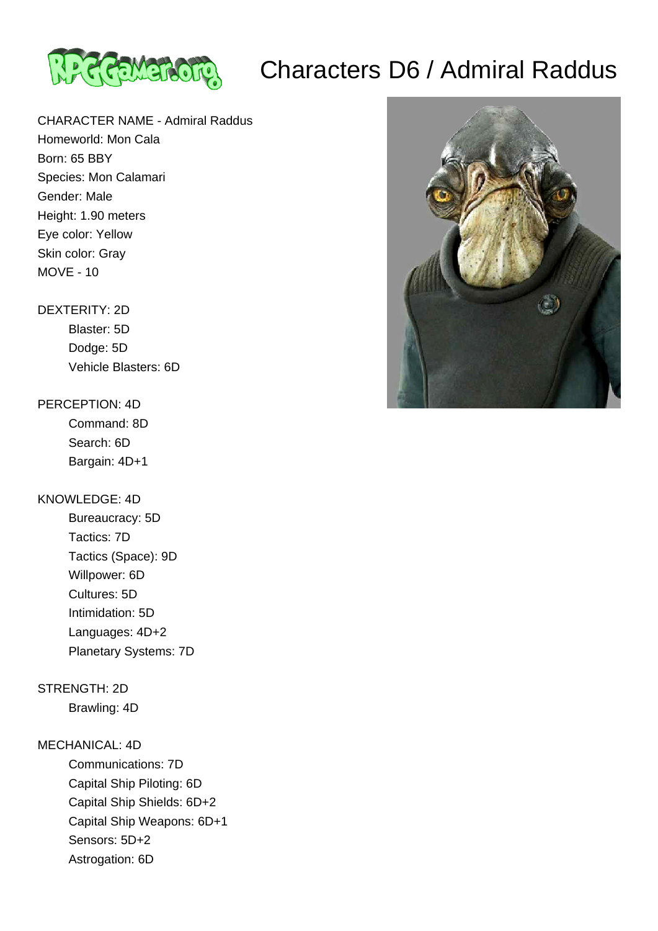

# Characters D6 / Admiral Raddus

CHARACTER NAME - Admiral Raddus Homeworld: Mon Cala Born: 65 BBY Species: Mon Calamari Gender: Male Height: 1.90 meters Eye color: Yellow Skin color: Gray MOVE - 10

## DEXTERITY: 2D

 Blaster: 5D Dodge: 5D Vehicle Blasters: 6D

#### PERCEPTION: 4D

 Command: 8D Search: 6D Bargain: 4D+1

#### KNOWLEDGE: 4D

 Bureaucracy: 5D Tactics: 7D Tactics (Space): 9D Willpower: 6D Cultures: 5D Intimidation: 5D Languages: 4D+2 Planetary Systems: 7D

### STRENGTH: 2D

Brawling: 4D

#### MECHANICAL: 4D

 Communications: 7D Capital Ship Piloting: 6D Capital Ship Shields: 6D+2 Capital Ship Weapons: 6D+1 Sensors: 5D+2

Astrogation: 6D

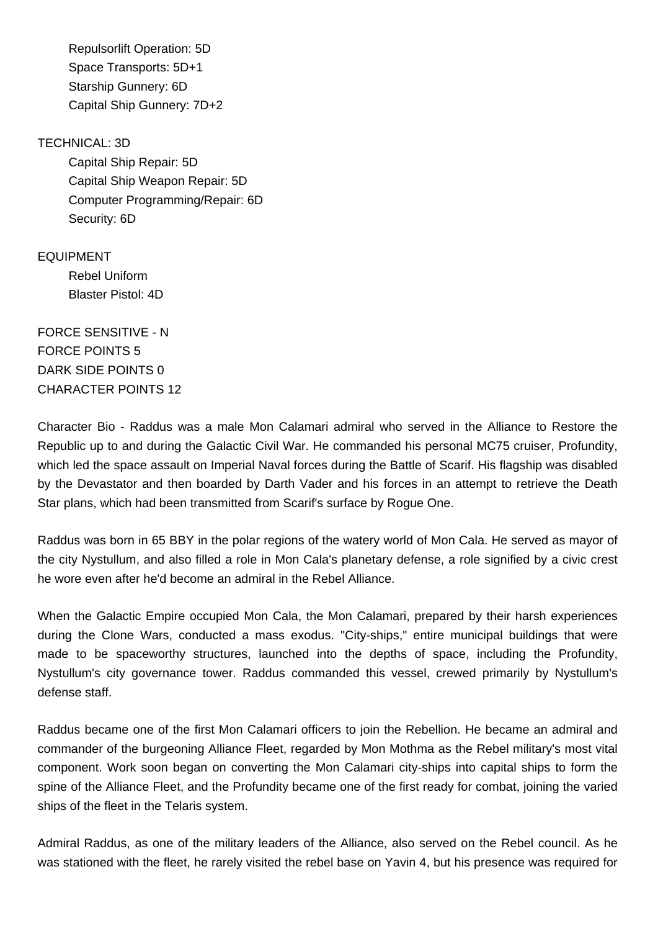Repulsorlift Operation: 5D Space Transports: 5D+1 Starship Gunnery: 6D Capital Ship Gunnery: 7D+2

TECHNICAL: 3D

 Capital Ship Repair: 5D Capital Ship Weapon Repair: 5D Computer Programming/Repair: 6D Security: 6D

EQUIPMENT Rebel Uniform Blaster Pistol: 4D

FORCE SENSITIVE - N FORCE POINTS 5 DARK SIDE POINTS 0 CHARACTER POINTS 12

Character Bio - Raddus was a male Mon Calamari admiral who served in the Alliance to Restore the Republic up to and during the Galactic Civil War. He commanded his personal MC75 cruiser, Profundity, which led the space assault on Imperial Naval forces during the Battle of Scarif. His flagship was disabled by the Devastator and then boarded by Darth Vader and his forces in an attempt to retrieve the Death Star plans, which had been transmitted from Scarif's surface by Rogue One.

Raddus was born in 65 BBY in the polar regions of the watery world of Mon Cala. He served as mayor of the city Nystullum, and also filled a role in Mon Cala's planetary defense, a role signified by a civic crest he wore even after he'd become an admiral in the Rebel Alliance.

When the Galactic Empire occupied Mon Cala, the Mon Calamari, prepared by their harsh experiences during the Clone Wars, conducted a mass exodus. "City-ships," entire municipal buildings that were made to be spaceworthy structures, launched into the depths of space, including the Profundity, Nystullum's city governance tower. Raddus commanded this vessel, crewed primarily by Nystullum's defense staff.

Raddus became one of the first Mon Calamari officers to join the Rebellion. He became an admiral and commander of the burgeoning Alliance Fleet, regarded by Mon Mothma as the Rebel military's most vital component. Work soon began on converting the Mon Calamari city-ships into capital ships to form the spine of the Alliance Fleet, and the Profundity became one of the first ready for combat, joining the varied ships of the fleet in the Telaris system.

Admiral Raddus, as one of the military leaders of the Alliance, also served on the Rebel council. As he was stationed with the fleet, he rarely visited the rebel base on Yavin 4, but his presence was required for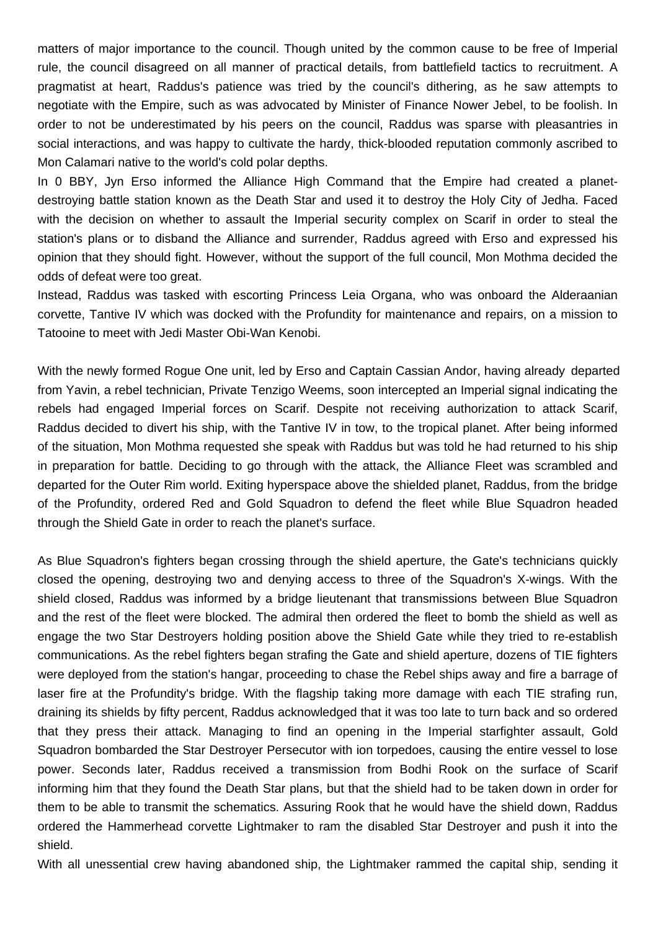matters of major importance to the council. Though united by the common cause to be free of Imperial rule, the council disagreed on all manner of practical details, from battlefield tactics to recruitment. A pragmatist at heart, Raddus's patience was tried by the council's dithering, as he saw attempts to negotiate with the Empire, such as was advocated by Minister of Finance Nower Jebel, to be foolish. In order to not be underestimated by his peers on the council, Raddus was sparse with pleasantries in social interactions, and was happy to cultivate the hardy, thick-blooded reputation commonly ascribed to Mon Calamari native to the world's cold polar depths.

In 0 BBY, Jyn Erso informed the Alliance High Command that the Empire had created a planetdestroying battle station known as the Death Star and used it to destroy the Holy City of Jedha. Faced with the decision on whether to assault the Imperial security complex on Scarif in order to steal the station's plans or to disband the Alliance and surrender, Raddus agreed with Erso and expressed his opinion that they should fight. However, without the support of the full council, Mon Mothma decided the odds of defeat were too great.

Instead, Raddus was tasked with escorting Princess Leia Organa, who was onboard the Alderaanian corvette, Tantive IV which was docked with the Profundity for maintenance and repairs, on a mission to Tatooine to meet with Jedi Master Obi-Wan Kenobi.

With the newly formed Rogue One unit, led by Erso and Captain Cassian Andor, having already departed from Yavin, a rebel technician, Private Tenzigo Weems, soon intercepted an Imperial signal indicating the rebels had engaged Imperial forces on Scarif. Despite not receiving authorization to attack Scarif, Raddus decided to divert his ship, with the Tantive IV in tow, to the tropical planet. After being informed of the situation, Mon Mothma requested she speak with Raddus but was told he had returned to his ship in preparation for battle. Deciding to go through with the attack, the Alliance Fleet was scrambled and departed for the Outer Rim world. Exiting hyperspace above the shielded planet, Raddus, from the bridge of the Profundity, ordered Red and Gold Squadron to defend the fleet while Blue Squadron headed through the Shield Gate in order to reach the planet's surface.

As Blue Squadron's fighters began crossing through the shield aperture, the Gate's technicians quickly closed the opening, destroying two and denying access to three of the Squadron's X-wings. With the shield closed, Raddus was informed by a bridge lieutenant that transmissions between Blue Squadron and the rest of the fleet were blocked. The admiral then ordered the fleet to bomb the shield as well as engage the two Star Destroyers holding position above the Shield Gate while they tried to re-establish communications. As the rebel fighters began strafing the Gate and shield aperture, dozens of TIE fighters were deployed from the station's hangar, proceeding to chase the Rebel ships away and fire a barrage of laser fire at the Profundity's bridge. With the flagship taking more damage with each TIE strafing run, draining its shields by fifty percent, Raddus acknowledged that it was too late to turn back and so ordered that they press their attack. Managing to find an opening in the Imperial starfighter assault, Gold Squadron bombarded the Star Destroyer Persecutor with ion torpedoes, causing the entire vessel to lose power. Seconds later, Raddus received a transmission from Bodhi Rook on the surface of Scarif informing him that they found the Death Star plans, but that the shield had to be taken down in order for them to be able to transmit the schematics. Assuring Rook that he would have the shield down, Raddus ordered the Hammerhead corvette Lightmaker to ram the disabled Star Destroyer and push it into the shield.

With all unessential crew having abandoned ship, the Lightmaker rammed the capital ship, sending it